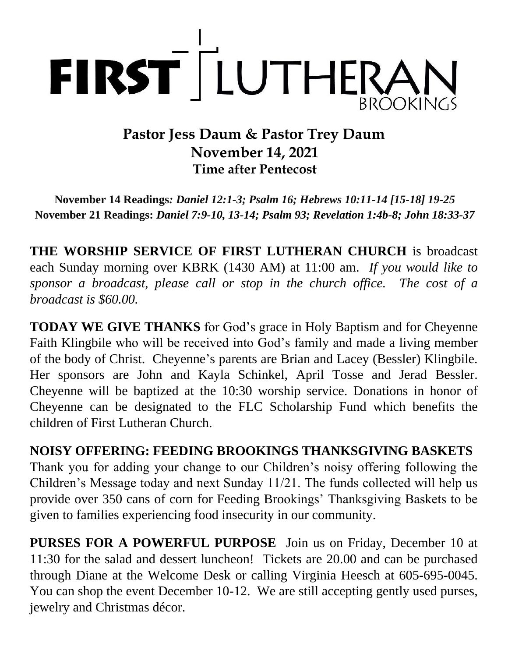

# **Pastor Jess Daum & Pastor Trey Daum November 14, 2021 Time after Pentecost**

**November 14 Readings***: Daniel 12:1-3; Psalm 16; Hebrews 10:11-14 [15-18] 19-25* **November 21 Readings:** *Daniel 7:9-10, 13-14; Psalm 93; Revelation 1:4b-8; John 18:33-37*

**THE WORSHIP SERVICE OF FIRST LUTHERAN CHURCH** is broadcast each Sunday morning over KBRK (1430 AM) at 11:00 am. *If you would like to sponsor a broadcast, please call or stop in the church office. The cost of a broadcast is \$60.00.*

**TODAY WE GIVE THANKS** for God's grace in Holy Baptism and for Cheyenne Faith Klingbile who will be received into God's family and made a living member of the body of Christ. Cheyenne's parents are Brian and Lacey (Bessler) Klingbile. Her sponsors are John and Kayla Schinkel, April Tosse and Jerad Bessler. Cheyenne will be baptized at the 10:30 worship service. Donations in honor of Cheyenne can be designated to the FLC Scholarship Fund which benefits the children of First Lutheran Church.

**NOISY OFFERING: FEEDING BROOKINGS THANKSGIVING BASKETS**  Thank you for adding your change to our Children's noisy offering following the Children's Message today and next Sunday 11/21. The funds collected will help us provide over 350 cans of corn for Feeding Brookings' Thanksgiving Baskets to be given to families experiencing food insecurity in our community.

**PURSES FOR A POWERFUL PURPOSE** Join us on Friday, December 10 at 11:30 for the salad and dessert luncheon! Tickets are 20.00 and can be purchased through Diane at the Welcome Desk or calling Virginia Heesch at 605-695-0045. You can shop the event December 10-12. We are still accepting gently used purses, jewelry and Christmas décor.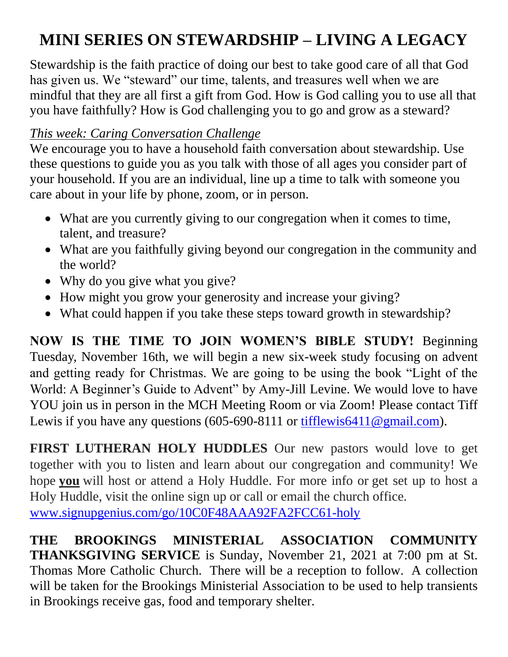# **MINI SERIES ON STEWARDSHIP – LIVING A LEGACY**

Stewardship is the faith practice of doing our best to take good care of all that God has given us. We "steward" our time, talents, and treasures well when we are mindful that they are all first a gift from God. How is God calling you to use all that you have faithfully? How is God challenging you to go and grow as a steward?

# *This week: Caring Conversation Challenge*

We encourage you to have a household faith conversation about stewardship. Use these questions to guide you as you talk with those of all ages you consider part of your household. If you are an individual, line up a time to talk with someone you care about in your life by phone, zoom, or in person.

- What are you currently giving to our congregation when it comes to time, talent, and treasure?
- What are you faithfully giving beyond our congregation in the community and the world?
- Why do you give what you give?
- How might you grow your generosity and increase your giving?
- What could happen if you take these steps toward growth in stewardship?

**NOW IS THE TIME TO JOIN WOMEN'S BIBLE STUDY!** Beginning Tuesday, November 16th, we will begin a new six-week study focusing on advent and getting ready for Christmas. We are going to be using the book "Light of the World: A Beginner's Guide to Advent" by Amy-Jill Levine. We would love to have YOU join us in person in the MCH Meeting Room or via Zoom! Please contact Tiff Lewis if you have any questions  $(605-690-8111)$  or [tifflewis6411@gmail.com\)](mailto:tifflewis6411@gmail.com).

**FIRST LUTHERAN HOLY HUDDLES** Our new pastors would love to get together with you to listen and learn about our congregation and community! We hope **you** will host or attend a Holy Huddle. For more info or get set up to host a Holy Huddle, visit the online sign up or call or email the church office.

[www.signupgenius.com/go/10C0F48AAA92FA2FCC61-holy](http://www.signupgenius.com/go/10C0F48AAA92FA2FCC61-holyl)

**THE BROOKINGS MINISTERIAL ASSOCIATION COMMUNITY THANKSGIVING SERVICE** is Sunday, November 21, 2021 at 7:00 pm at St. Thomas More Catholic Church. There will be a reception to follow. A collection will be taken for the Brookings Ministerial Association to be used to help transients in Brookings receive gas, food and temporary shelter.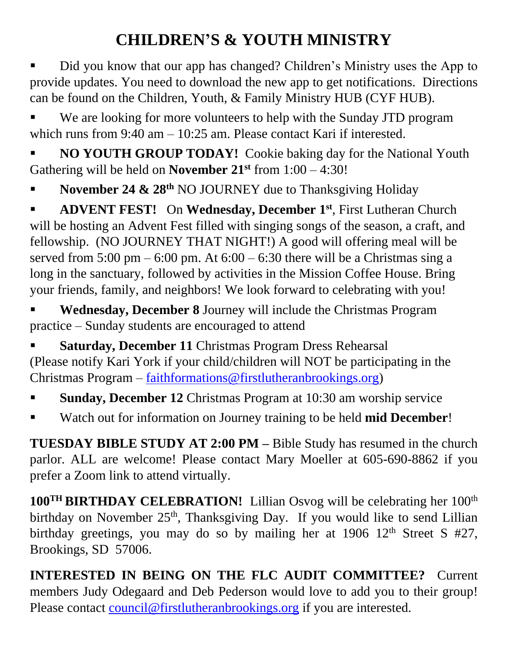# **CHILDREN'S & YOUTH MINISTRY**

Did you know that our app has changed? Children's Ministry uses the App to provide updates. You need to download the new app to get notifications. Directions can be found on the Children, Youth, & Family Ministry HUB (CYF HUB).

We are looking for more volunteers to help with the Sunday JTD program which runs from 9:40 am – 10:25 am. Please contact Kari if interested.

**NO YOUTH GROUP TODAY!** Cookie baking day for the National Youth Gathering will be held on **November 21st** from 1:00 – 4:30!

November 24 & 28<sup>th</sup> NO JOURNEY due to Thanksgiving Holiday

**EXECUTE:** On **Wednesday, December 1<sup>st</sup>**, First Lutheran Church will be hosting an Advent Fest filled with singing songs of the season, a craft, and fellowship. (NO JOURNEY THAT NIGHT!) A good will offering meal will be served from  $5:00 \text{ pm} - 6:00 \text{ pm}$ . At  $6:00 - 6:30$  there will be a Christmas sing a long in the sanctuary, followed by activities in the Mission Coffee House. Bring your friends, family, and neighbors! We look forward to celebrating with you!

Wednesday, December 8 Journey will include the Christmas Program practice – Sunday students are encouraged to attend

**Saturday, December 11 Christmas Program Dress Rehearsal** (Please notify Kari York if your child/children will NOT be participating in the Christmas Program – [faithformations@firstlutheranbrookings.org\)](mailto:faithformations@firstlutheranbrookings.org)

- **Sunday, December 12** Christmas Program at 10:30 am worship service
- Watch out for information on Journey training to be held **mid December**!

**TUESDAY BIBLE STUDY AT 2:00 PM –** Bible Study has resumed in the church parlor. ALL are welcome! Please contact Mary Moeller at 605-690-8862 if you prefer a Zoom link to attend virtually.

**100TH BIRTHDAY CELEBRATION!** Lillian Osvog will be celebrating her 100th birthday on November 25<sup>th</sup>, Thanksgiving Day. If you would like to send Lillian birthday greetings, you may do so by mailing her at 1906  $12<sup>th</sup>$  Street S #27, Brookings, SD 57006.

**INTERESTED IN BEING ON THE FLC AUDIT COMMITTEE?** Current members Judy Odegaard and Deb Pederson would love to add you to their group! Please contact [council@firstlutheranbrookings.org](mailto:council@firstlutheranbrookings.org) if you are interested.